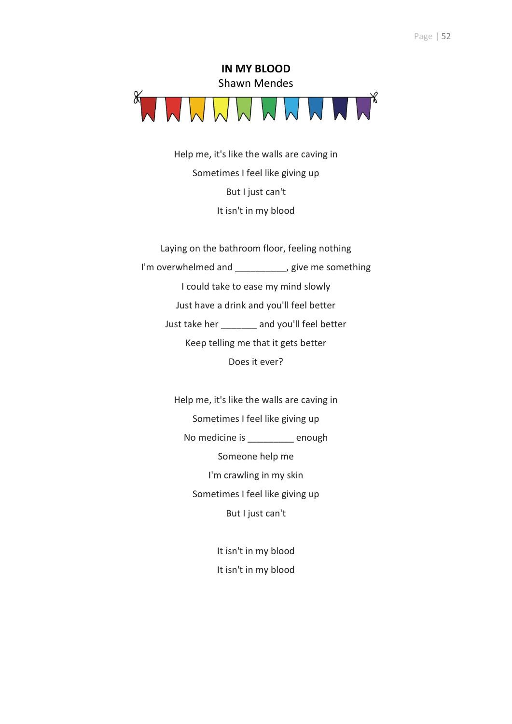# **IN MY BLOOD** Shawn Mendes  $\chi$ WWWWWW

Help me, it's like the walls are caving in Sometimes I feel like giving up But I just can't It isn't in my blood

Laying on the bathroom floor, feeling nothing I'm overwhelmed and **the something** I could take to ease my mind slowly Just have a drink and you'll feel better Just take her and you'll feel better Keep telling me that it gets better Does it ever?

> Help me, it's like the walls are caving in Sometimes I feel like giving up No medicine is enough Someone help me I'm crawling in my skin Sometimes I feel like giving up

> > But I just can't

It isn't in my blood It isn't in my blood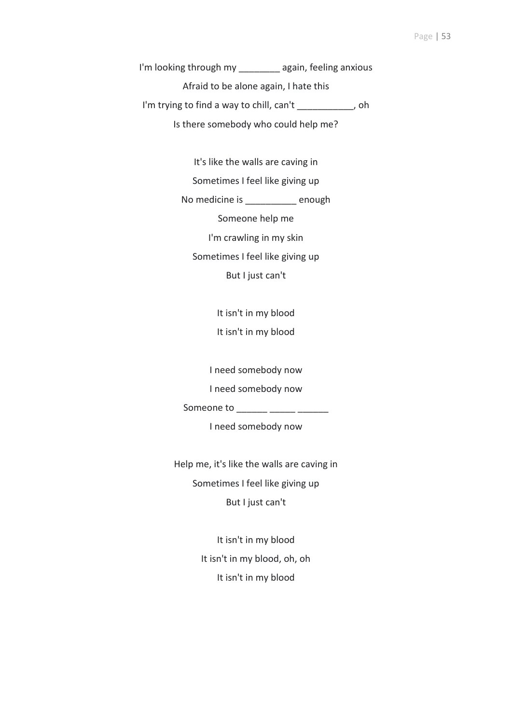I'm looking through my \_\_\_\_\_\_\_\_ again, feeling anxious

Afraid to be alone again, I hate this

I'm trying to find a way to chill, can't \_\_\_\_\_\_\_\_\_\_, oh

Is there somebody who could help me?

It's like the walls are caving in

Sometimes I feel like giving up

No medicine is \_\_\_\_\_\_\_\_\_\_ enough

Someone help me

I'm crawling in my skin

Sometimes I feel like giving up

But I just can't

It isn't in my blood It isn't in my blood

I need somebody now

I need somebody now

Someone to \_\_\_\_\_\_\_ \_\_\_\_\_ \_\_\_\_\_\_

I need somebody now

Help me, it's like the walls are caving in Sometimes I feel like giving up But I just can't

> It isn't in my blood It isn't in my blood, oh, oh It isn't in my blood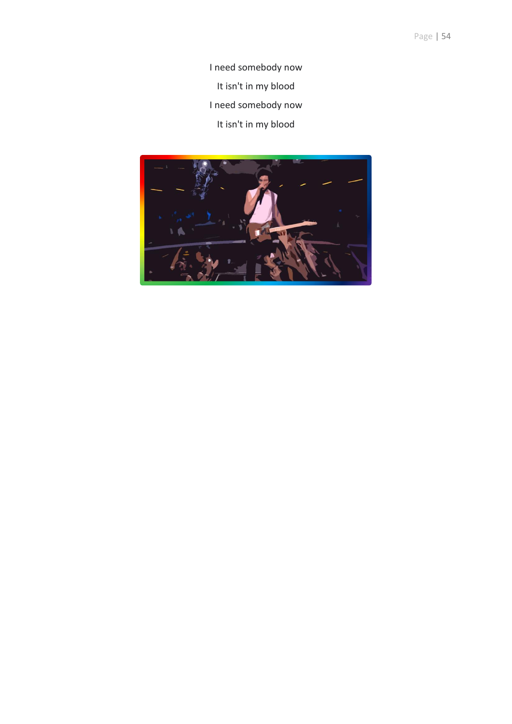I need somebody now It isn't in my blood I need somebody now It isn't in my blood

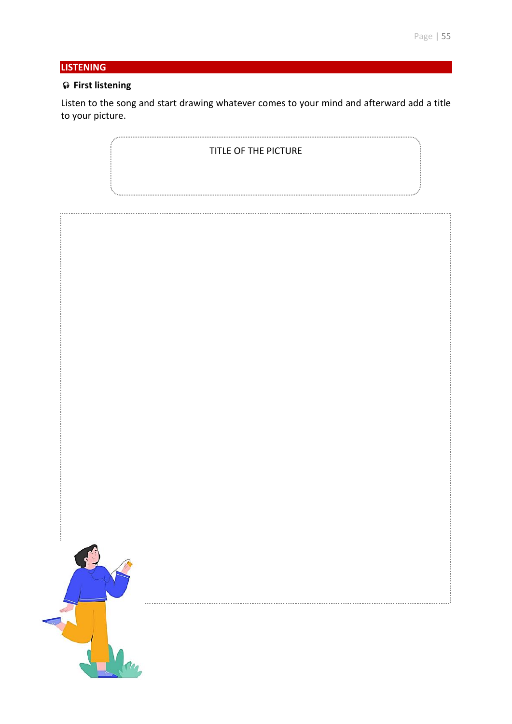**LISTENING**

## **First listening**

Listen to the song and start drawing whatever comes to your mind and afterward add a title to your picture.



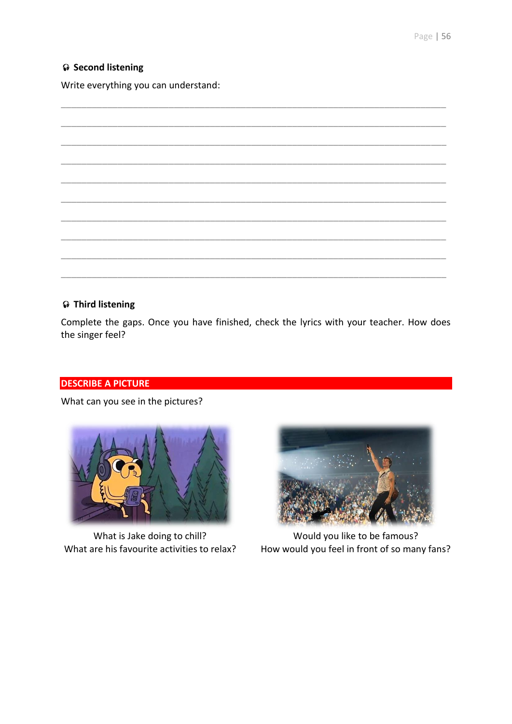## ♦ Second listening

Write everything you can understand:



## **W** Third listening

Complete the gaps. Once you have finished, check the lyrics with your teacher. How does the singer feel?

## **DESCRIBE A PICTURE**

What can you see in the pictures?



What is Jake doing to chill? What are his favourite activities to relax?



Would you like to be famous? How would you feel in front of so many fans?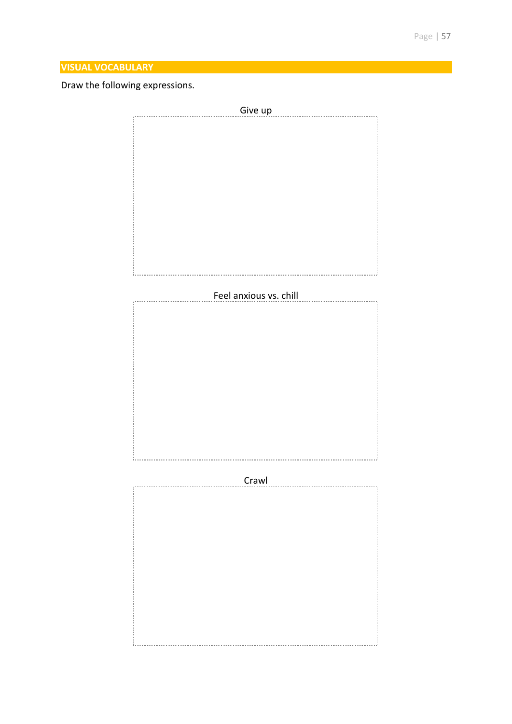# **VISUAL VOCABULARY**

# Draw the following expressions.

Give up

# Feel anxious vs. chill

Crawl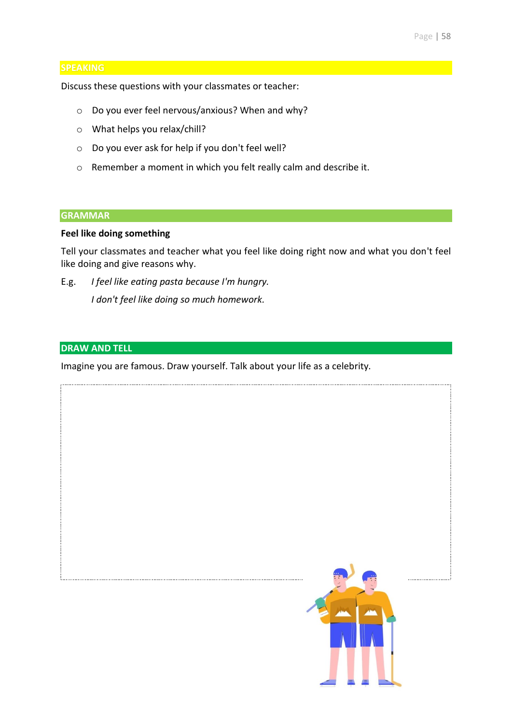Discuss these questions with your classmates or teacher:

- o Do you ever feel nervous/anxious? When and why?
- o What helps you relax/chill?
- o Do you ever ask for help if you don't feel well?
- o Remember a moment in which you felt really calm and describe it.

#### **GRAMMAR**

#### **Feel like doing something**

Tell your classmates and teacher what you feel like doing right now and what you don't feel like doing and give reasons why.

E.g. *I feel like eating pasta because I'm hungry.*

*I don't feel like doing so much homework.*

#### **DRAW AND TELL**

Imagine you are famous. Draw yourself. Talk about your life as a celebrity.

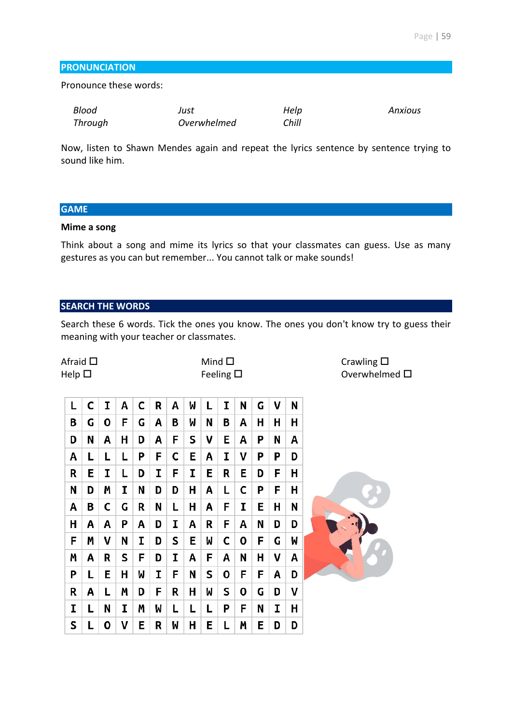#### **PRONUNCIATION**

Pronounce these words:

| Blood   | Just        | Help  | Anxious |
|---------|-------------|-------|---------|
| Through | Overwhelmed | Chill |         |

Now, listen to Shawn Mendes again and repeat the lyrics sentence by sentence trying to sound like him.

#### **GAME**

Afraid □

#### **Mime a song**

Think about a song and mime its lyrics so that your classmates can guess. Use as many gestures as you can but remember... You cannot talk or make sounds!

#### **SEARCH THE WORDS**

Search these 6 words. Tick the ones you know. The ones you don't know try to guess their meaning with your teacher or classmates.

Crawling  $\square$ 

| Help $\square$ |   |   |   |   |   |   |   |   | Feeling $\square$ |   |   |   |   | Overwhelmed $\square$ |
|----------------|---|---|---|---|---|---|---|---|-------------------|---|---|---|---|-----------------------|
| L              | C | I | Α | C | R | Α | W | L | I                 | N | C | V | N |                       |
| B              | C | 0 | F | G | Α | В | W | N | B                 | Α | Н | Н | Η |                       |
| D              | N | Α | Η | D | Α | F | S | ٧ | E                 | Α | Ρ | N | Α |                       |
| Α              | L | L | L | Ρ | F | C | E | Α | I                 | ٧ | P | Ρ | D |                       |
| R              | E | I | L | D | I | F | I | E | R                 | E | D | F | Н |                       |
| N              | D | Μ | I | N | D | D | H | Α | L                 | C | Ρ | F | H |                       |
| Α              | В | C | G | R | N | L | Н | Α | F                 | I | E | Η | N |                       |
| Н              | Α | Α | P | Α | D | I | Α | R | F                 | Α | N | D | D |                       |
| F              | Μ | ٧ | N | I | D | S | E | W | C                 | 0 | F | C | W |                       |
| M              | Α | R | S | F | D | I | Α | F | Α                 | N | Н | ٧ | Α |                       |
| Ρ              | L | E | H | W | I | F | N | S | 0                 | F | F | Α | D |                       |
| R              | Α | L | M | D | F | R | Н | W | S                 | 0 | G | D | ٧ |                       |
| I              | L | N | I | Μ | W | Г | L | L | P                 | F | N | I | H |                       |
| S              | L | 0 | ٧ | E | R | W | Η | E | L                 | Μ | E | D | D |                       |

Mind  $\square$